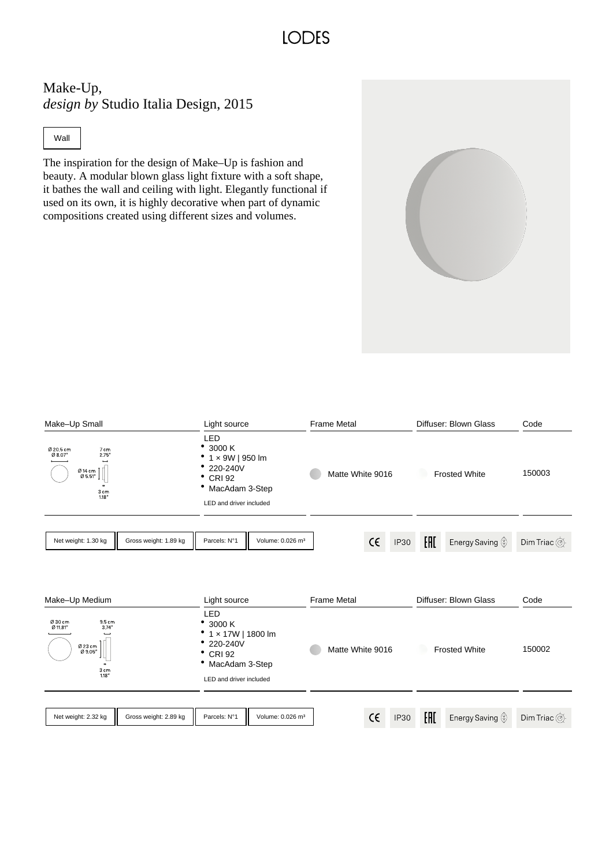### **IODES**

### Make-Up, *design by* Studio Italia Design, 2015

#### Wall

The inspiration for the design of Make–Up is fashion and beauty. A modular blown glass light fixture with a soft shape, it bathes the wall and ceiling with light. Elegantly functional if used on its own, it is highly decorative when part of dynamic compositions created using different sizes and volumes.

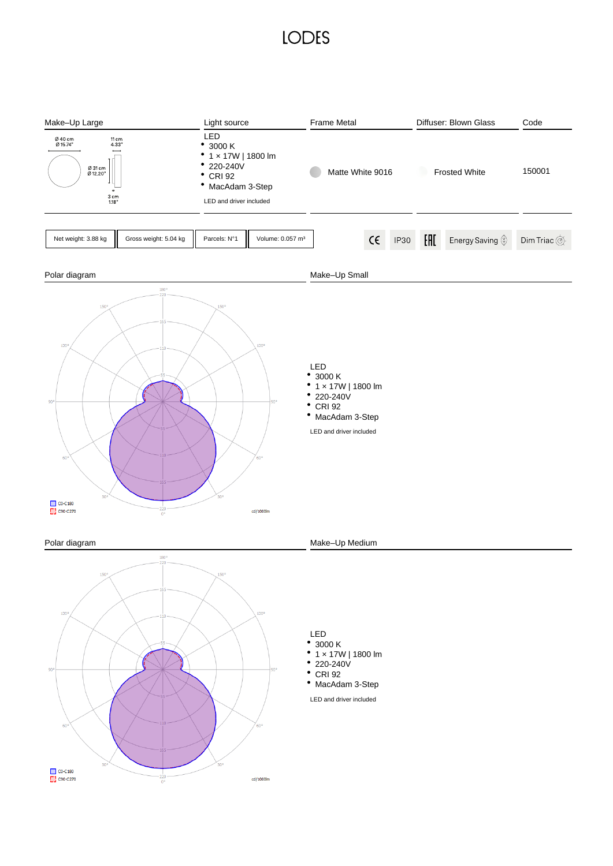## **LODES**